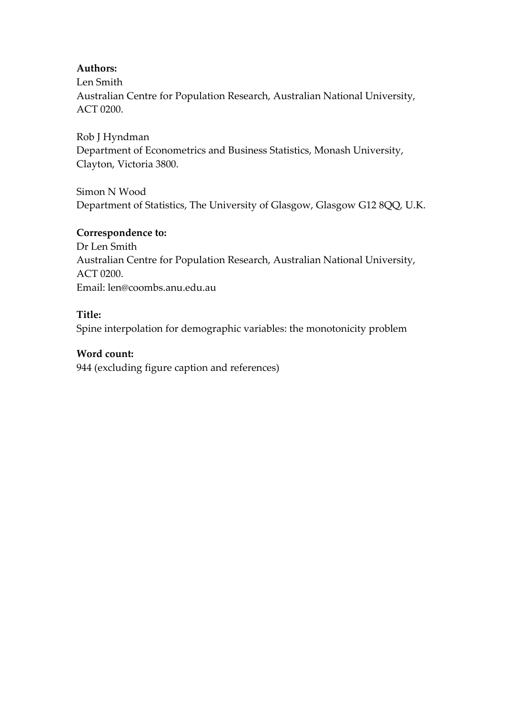### **Authors:**

Len Smith Australian Centre for Population Research, Australian National University, ACT 0200.

Rob J Hyndman Department of Econometrics and Business Statistics, Monash University, Clayton, Victoria 3800.

Simon N Wood Department of Statistics, The University of Glasgow, Glasgow G12 8QQ, U.K.

### **Correspondence to:**

Dr Len Smith Australian Centre for Population Research, Australian National University, ACT 0200. Email: len@coombs.anu.edu.au

### **Title:**

Spine interpolation for demographic variables: the monotonicity problem

### **Word count:**

944 (excluding figure caption and references)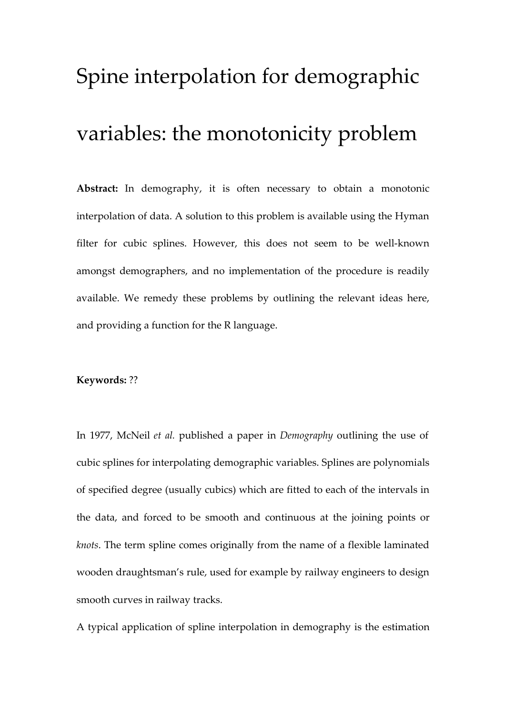# Spine interpolation for demographic variables: the monotonicity problem

**Abstract:** In demography, it is often necessary to obtain a monotonic interpolation of data. A solution to this problem is available using the Hyman filter for cubic splines. However, this does not seem to be well-known amongst demographers, and no implementation of the procedure is readily available. We remedy these problems by outlining the relevant ideas here, and providing a function for the R language.

#### **Keywords:** ??

In 1977, McNeil *et al.* published a paper in *Demography* outlining the use of cubic splines for interpolating demographic variables. Splines are polynomials of specified degree (usually cubics) which are fitted to each of the intervals in the data, and forced to be smooth and continuous at the joining points or *knots*. The term spline comes originally from the name of a flexible laminated wooden draughtsman's rule, used for example by railway engineers to design smooth curves in railway tracks.

A typical application of spline interpolation in demography is the estimation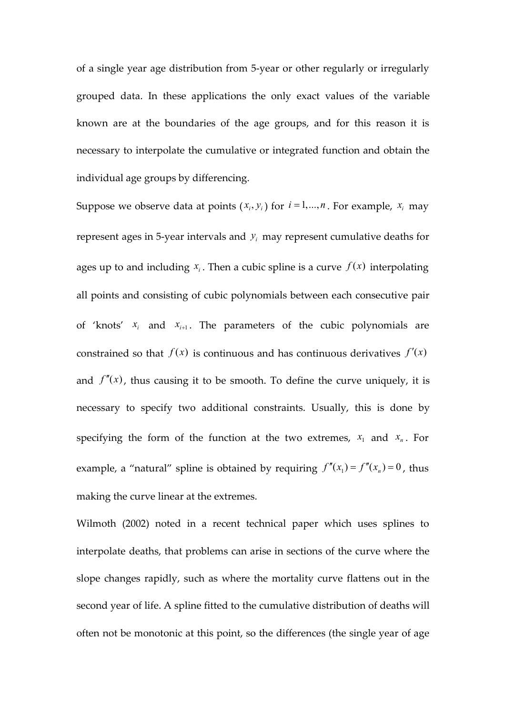of a single year age distribution from 5-year or other regularly or irregularly grouped data. In these applications the only exact values of the variable known are at the boundaries of the age groups, and for this reason it is necessary to interpolate the cumulative or integrated function and obtain the individual age groups by differencing.

Suppose we observe data at points  $(x_i, y_i)$  for  $i = 1,...,n$ . For example,  $x_i$  may represent ages in 5-year intervals and  $y_i$  may represent cumulative deaths for ages up to and including  $x_i$ . Then a cubic spline is a curve  $f(x)$  interpolating all points and consisting of cubic polynomials between each consecutive pair of 'knots'  $x_i$  and  $x_{i+1}$ . The parameters of the cubic polynomials are constrained so that  $f(x)$  is continuous and has continuous derivatives  $f'(x)$ and  $f''(x)$ , thus causing it to be smooth. To define the curve uniquely, it is necessary to specify two additional constraints. Usually, this is done by specifying the form of the function at the two extremes,  $x_1$  and  $x_n$ . For example, a "natural" spline is obtained by requiring  $f''(x_1) = f''(x_n) = 0$ , thus making the curve linear at the extremes.

Wilmoth (2002) noted in a recent technical paper which uses splines to interpolate deaths, that problems can arise in sections of the curve where the slope changes rapidly, such as where the mortality curve flattens out in the second year of life. A spline fitted to the cumulative distribution of deaths will often not be monotonic at this point, so the differences (the single year of age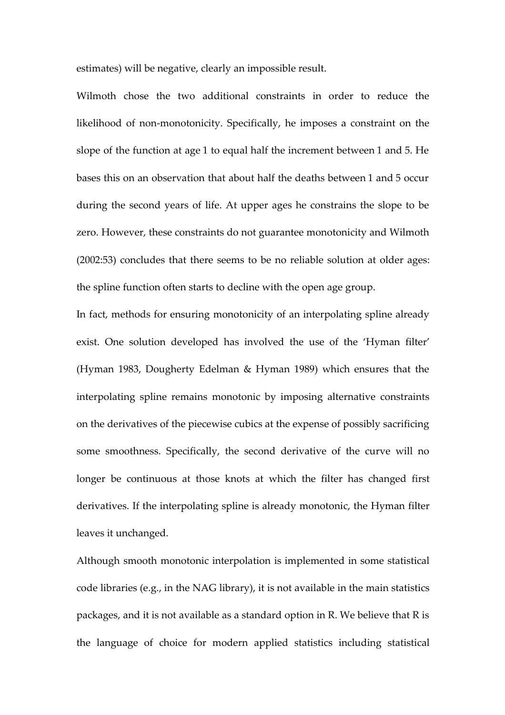estimates) will be negative, clearly an impossible result.

Wilmoth chose the two additional constraints in order to reduce the likelihood of non-monotonicity. Specifically, he imposes a constraint on the slope of the function at age 1 to equal half the increment between 1 and 5. He bases this on an observation that about half the deaths between 1 and 5 occur during the second years of life. At upper ages he constrains the slope to be zero. However, these constraints do not guarantee monotonicity and Wilmoth (2002:53) concludes that there seems to be no reliable solution at older ages: the spline function often starts to decline with the open age group.

In fact, methods for ensuring monotonicity of an interpolating spline already exist. One solution developed has involved the use of the 'Hyman filter' (Hyman 1983, Dougherty Edelman & Hyman 1989) which ensures that the interpolating spline remains monotonic by imposing alternative constraints on the derivatives of the piecewise cubics at the expense of possibly sacrificing some smoothness. Specifically, the second derivative of the curve will no longer be continuous at those knots at which the filter has changed first derivatives. If the interpolating spline is already monotonic, the Hyman filter leaves it unchanged.

Although smooth monotonic interpolation is implemented in some statistical code libraries (e.g., in the NAG library), it is not available in the main statistics packages, and it is not available as a standard option in R. We believe that R is the language of choice for modern applied statistics including statistical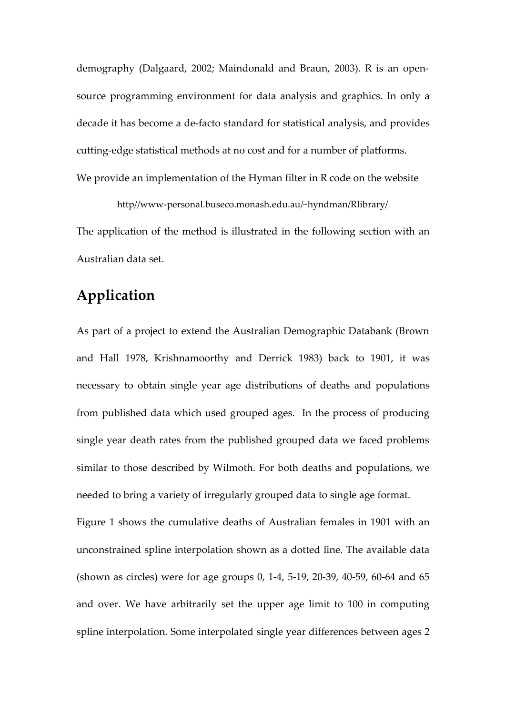demography (Dalgaard, 2002; Maindonald and Braun, 2003). R is an opensource programming environment for data analysis and graphics. In only a decade it has become a de-facto standard for statistical analysis, and provides cutting-edge statistical methods at no cost and for a number of platforms. We provide an implementation of the Hyman filter in R code on the website

http//www-personal.buseco.monash.edu.au/~hyndman/Rlibrary/ The application of the method is illustrated in the following section with an Australian data set.

## **Application**

As part of a project to extend the Australian Demographic Databank (Brown and Hall 1978, Krishnamoorthy and Derrick 1983) back to 1901, it was necessary to obtain single year age distributions of deaths and populations from published data which used grouped ages. In the process of producing single year death rates from the published grouped data we faced problems similar to those described by Wilmoth. For both deaths and populations, we needed to bring a variety of irregularly grouped data to single age format.

Figure 1 shows the cumulative deaths of Australian females in 1901 with an unconstrained spline interpolation shown as a dotted line. The available data (shown as circles) were for age groups 0, 1-4, 5-19, 20-39, 40-59, 60-64 and 65 and over. We have arbitrarily set the upper age limit to 100 in computing spline interpolation. Some interpolated single year differences between ages 2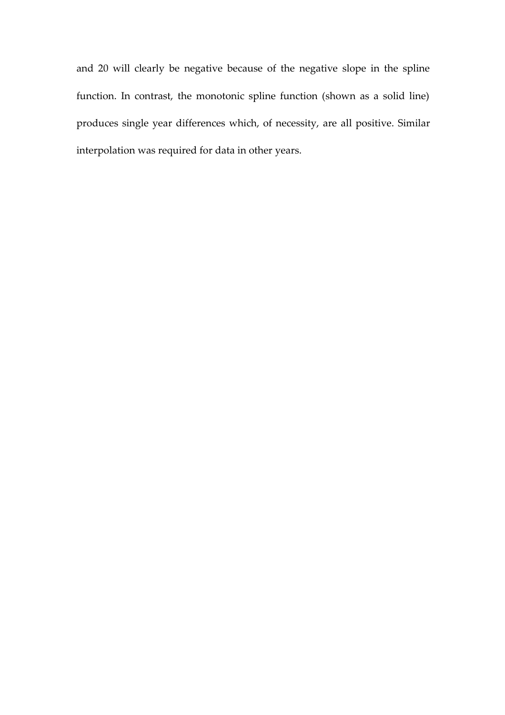and 20 will clearly be negative because of the negative slope in the spline function. In contrast, the monotonic spline function (shown as a solid line) produces single year differences which, of necessity, are all positive. Similar interpolation was required for data in other years.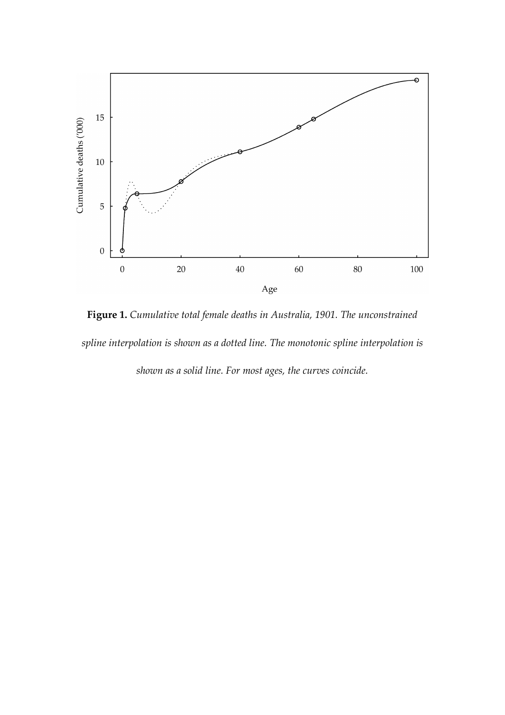

**Figure 1.** *Cumulative total female deaths in Australia, 1901. The unconstrained spline interpolation is shown as a dotted line. The monotonic spline interpolation is shown as a solid line. For most ages, the curves coincide.*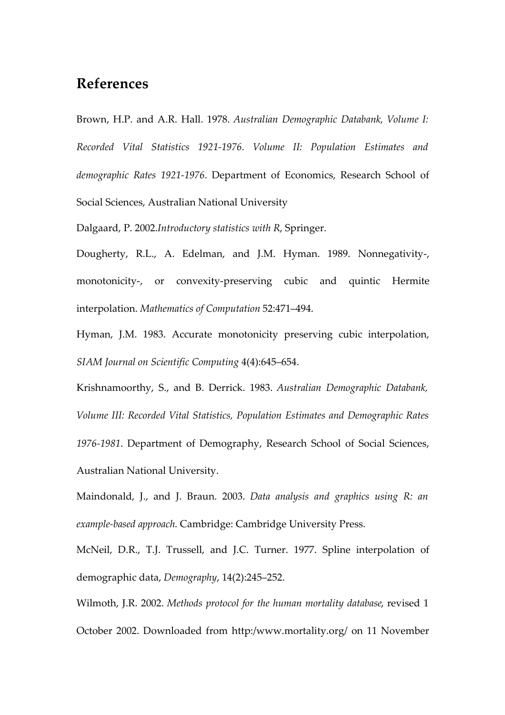### **References**

Brown, H.P. and A.R. Hall. 1978. *Australian Demographic Databank, Volume I: Recorded Vital Statistics 1921-1976. Volume II: Population Estimates and demographic Rates 1921-1976*. Department of Economics, Research School of Social Sciences, Australian National University

Dalgaard, P. 2002.*Introductory statistics with R*, Springer.

Dougherty, R.L., A. Edelman, and J.M. Hyman. 1989. Nonnegativity-, monotonicity-, or convexity-preserving cubic and quintic Hermite interpolation. *Mathematics of Computation* 52:471–494.

Hyman, J.M. 1983. Accurate monotonicity preserving cubic interpolation, *SIAM Journal on Scientific Computing* 4(4):645–654.

Krishnamoorthy, S., and B. Derrick. 1983. *Australian Demographic Databank, Volume III: Recorded Vital Statistics, Population Estimates and Demographic Rates 1976-1981*. Department of Demography, Research School of Social Sciences, Australian National University.

Maindonald, J., and J. Braun. 2003. *Data analysis and graphics using R: an example-based approach*. Cambridge: Cambridge University Press.

McNeil, D.R., T.J. Trussell, and J.C. Turner. 1977. Spline interpolation of demographic data, *Demography*, 14(2):245–252.

Wilmoth, J.R. 2002. *Methods protocol for the human mortality database*, revised 1 October 2002. Downloaded from http:/www.mortality.org/ on 11 November